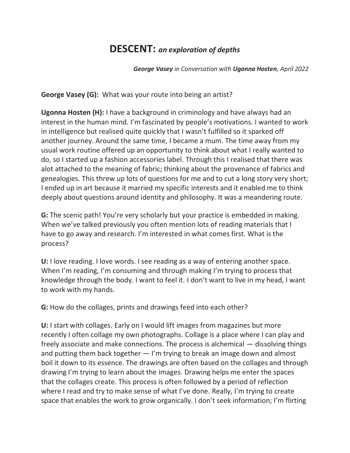## **DESCENT:** *an exploration of depths*

*George Vasey in Conversation with Ugonna Hosten, April 2022*

**George Vasey (G):** What was your route into being an artist?

**Ugonna Hosten (H):** I have a background in criminology and have always had an interest in the human mind. I'm fascinated by people's motivations. I wanted to work in intelligence but realised quite quickly that I wasn't fulfilled so it sparked off another journey. Around the same time, I became a mum. The time away from my usual work routine offered up an opportunity to think about what I really wanted to do, so I started up a fashion accessories label. Through this I realised that there was alot attached to the meaning of fabric; thinking about the provenance of fabrics and genealogies. This threw up lots of questions for me and to cut a long story very short; I ended up in art because it married my specific interests and it enabled me to think deeply about questions around identity and philosophy. It was a meandering route.

**G:** The scenic path! You're very scholarly but your practice is embedded in making. When we've talked previously you often mention lots of reading materials that I have to go away and research. I'm interested in what comes first. What is the process?

**U:** I love reading. I love words. I see reading as a way of entering another space. When I'm reading, I'm consuming and through making I'm trying to process that knowledge through the body. I want to feel it. I don't want to live in my head, I want to work with my hands.

**G:** How do the collages, prints and drawings feed into each other?

**U:** I start with collages. Early on I would lift images from magazines but more recently I often collage my own photographs. Collage is a place where I can play and freely associate and make connections. The process is alchemical — dissolving things and putting them back together — I'm trying to break an image down and almost boil it down to its essence. The drawings are often based on the collages and through drawing I'm trying to learn about the images. Drawing helps me enter the spaces that the collages create. This process is often followed by a period of reflection where I read and try to make sense of what I've done. Really, I'm trying to create space that enables the work to grow organically. I don't seek information; I'm flirting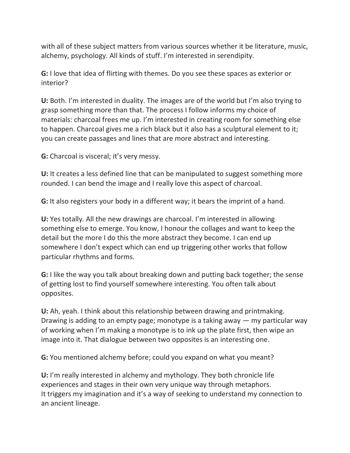with all of these subject matters from various sources whether it be literature, music, alchemy, psychology. All kinds of stuff. I'm interested in serendipity.

**G:** I love that idea of flirting with themes. Do you see these spaces as exterior or interior?

**U:** Both. I'm interested in duality. The images are of the world but I'm also trying to grasp something more than that. The process I follow informs my choice of materials: charcoal frees me up. I'm interested in creating room for something else to happen. Charcoal gives me a rich black but it also has a sculptural element to it; you can create passages and lines that are more abstract and interesting.

**G:** Charcoal is visceral; it's very messy.

**U:** It creates a less defined line that can be manipulated to suggest something more rounded. I can bend the image and I really love this aspect of charcoal.

**G:** It also registers your body in a different way; it bears the imprint of a hand.

**U:** Yes totally. All the new drawings are charcoal. I'm interested in allowing something else to emerge. You know, I honour the collages and want to keep the detail but the more I do this the more abstract they become. I can end up somewhere I don't expect which can end up triggering other works that follow particular rhythms and forms.

**G:** I like the way you talk about breaking down and putting back together; the sense of getting lost to find yourself somewhere interesting. You often talk about opposites.

**U:** Ah, yeah. I think about this relationship between drawing and printmaking. Drawing is adding to an empty page; monotype is a taking away — my particular way of working when I'm making a monotype is to ink up the plate first, then wipe an image into it. That dialogue between two opposites is an interesting one.

**G:** You mentioned alchemy before; could you expand on what you meant?

**U:** I'm really interested in alchemy and mythology. They both chronicle life experiences and stages in their own very unique way through metaphors. It triggers my imagination and it's a way of seeking to understand my connection to an ancient lineage.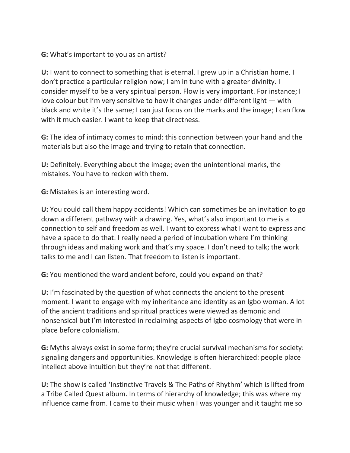## **G:** What's important to you as an artist?

**U:** I want to connect to something that is eternal. I grew up in a Christian home. I don't practice a particular religion now; I am in tune with a greater divinity. I consider myself to be a very spiritual person. Flow is very important. For instance; I love colour but I'm very sensitive to how it changes under different light — with black and white it's the same; I can just focus on the marks and the image; I can flow with it much easier. I want to keep that directness.

**G:** The idea of intimacy comes to mind: this connection between your hand and the materials but also the image and trying to retain that connection.

**U:** Definitely. Everything about the image; even the unintentional marks, the mistakes. You have to reckon with them.

**G:** Mistakes is an interesting word.

**U:** You could call them happy accidents! Which can sometimes be an invitation to go down a different pathway with a drawing. Yes, what's also important to me is a connection to self and freedom as well. I want to express what I want to express and have a space to do that. I really need a period of incubation where I'm thinking through ideas and making work and that's my space. I don't need to talk; the work talks to me and I can listen. That freedom to listen is important.

**G:** You mentioned the word ancient before, could you expand on that?

**U:** I'm fascinated by the question of what connects the ancient to the present moment. I want to engage with my inheritance and identity as an Igbo woman. A lot of the ancient traditions and spiritual practices were viewed as demonic and nonsensical but I'm interested in reclaiming aspects of Igbo cosmology that were in place before colonialism.

**G:** Myths always exist in some form; they're crucial survival mechanisms for society: signaling dangers and opportunities. Knowledge is often hierarchized: people place intellect above intuition but they're not that different.

**U:** The show is called 'Instinctive Travels & The Paths of Rhythm' which is lifted from a Tribe Called Quest album. In terms of hierarchy of knowledge; this was where my influence came from. I came to their music when I was younger and it taught me so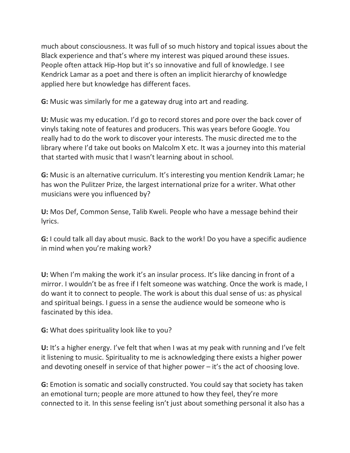much about consciousness. It was full of so much history and topical issues about the Black experience and that's where my interest was piqued around these issues. People often attack Hip-Hop but it's so innovative and full of knowledge. I see Kendrick Lamar as a poet and there is often an implicit hierarchy of knowledge applied here but knowledge has different faces.

**G:** Music was similarly for me a gateway drug into art and reading.

**U:** Music was my education. I'd go to record stores and pore over the back cover of vinyls taking note of features and producers. This was years before Google. You really had to do the work to discover your interests. The music directed me to the library where I'd take out books on Malcolm X etc. It was a journey into this material that started with music that I wasn't learning about in school.

**G:** Music is an alternative curriculum. It's interesting you mention Kendrik Lamar; he has won the Pulitzer Prize, the largest international prize for a writer. What other musicians were you influenced by?

**U:** Mos Def, Common Sense, Talib Kweli. People who have a message behind their lyrics.

**G:** I could talk all day about music. Back to the work! Do you have a specific audience in mind when you're making work?

**U:** When I'm making the work it's an insular process. It's like dancing in front of a mirror. I wouldn't be as free if I felt someone was watching. Once the work is made, I do want it to connect to people. The work is about this dual sense of us: as physical and spiritual beings. I guess in a sense the audience would be someone who is fascinated by this idea.

**G:** What does spirituality look like to you?

**U:** It's a higher energy. I've felt that when I was at my peak with running and I've felt it listening to music. Spirituality to me is acknowledging there exists a higher power and devoting oneself in service of that higher power – it's the act of choosing love.

**G:** Emotion is somatic and socially constructed. You could say that society has taken an emotional turn; people are more attuned to how they feel, they're more connected to it. In this sense feeling isn't just about something personal it also has a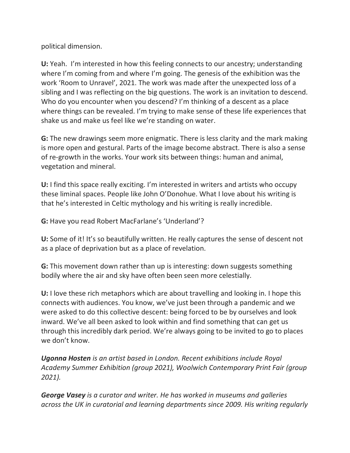political dimension.

**U:** Yeah. I'm interested in how this feeling connects to our ancestry; understanding where I'm coming from and where I'm going. The genesis of the exhibition was the work 'Room to Unravel', 2021. The work was made after the unexpected loss of a sibling and I was reflecting on the big questions. The work is an invitation to descend. Who do you encounter when you descend? I'm thinking of a descent as a place where things can be revealed. I'm trying to make sense of these life experiences that shake us and make us feel like we're standing on water.

**G:** The new drawings seem more enigmatic. There is less clarity and the mark making is more open and gestural. Parts of the image become abstract. There is also a sense of re-growth in the works. Your work sits between things: human and animal, vegetation and mineral.

**U:** I find this space really exciting. I'm interested in writers and artists who occupy these liminal spaces. People like John O'Donohue. What I love about his writing is that he's interested in Celtic mythology and his writing is really incredible.

**G:** Have you read Robert MacFarlane's 'Underland'?

**U:** Some of it! It's so beautifully written. He really captures the sense of descent not as a place of deprivation but as a place of revelation.

**G:** This movement down rather than up is interesting: down suggests something bodily where the air and sky have often been seen more celestially.

**U:** I love these rich metaphors which are about travelling and looking in. I hope this connects with audiences. You know, we've just been through a pandemic and we were asked to do this collective descent: being forced to be by ourselves and look inward. We've all been asked to look within and find something that can get us through this incredibly dark period. We're always going to be invited to go to places we don't know.

*Ugonna Hosten is an artist based in London. Recent exhibitions include Royal Academy Summer Exhibition (group 2021), Woolwich Contemporary Print Fair (group 2021).*

*George Vasey is a curator and writer. He has worked in museums and galleries across the UK in curatorial and learning departments since 2009. His writing regularly*